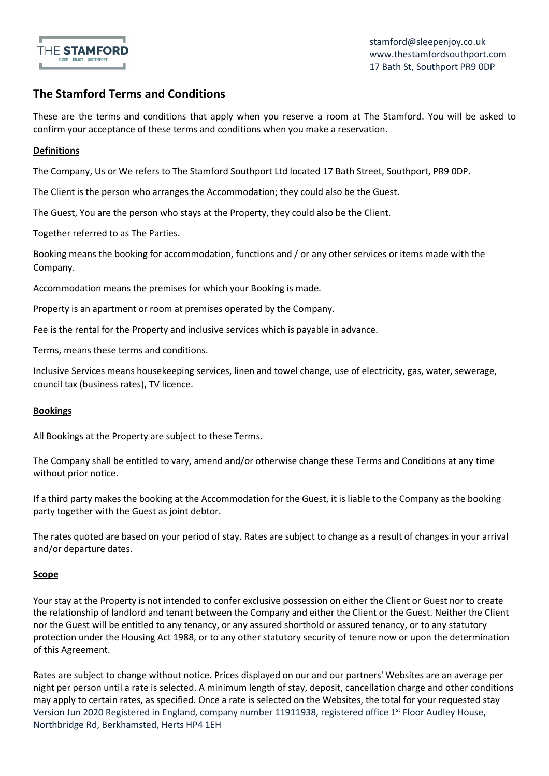

# **The Stamford Terms and Conditions**

These are the terms and conditions that apply when you reserve a room at The Stamford. You will be asked to confirm your acceptance of these terms and conditions when you make a reservation.

## **Definitions**

The Company, Us or We refers to The Stamford Southport Ltd located 17 Bath Street, Southport, PR9 0DP.

The Client is the person who arranges the Accommodation; they could also be the Guest.

The Guest, You are the person who stays at the Property, they could also be the Client.

Together referred to as The Parties.

Booking means the booking for accommodation, functions and / or any other services or items made with the Company.

Accommodation means the premises for which your Booking is made.

Property is an apartment or room at premises operated by the Company.

Fee is the rental for the Property and inclusive services which is payable in advance.

Terms, means these terms and conditions.

Inclusive Services means housekeeping services, linen and towel change, use of electricity, gas, water, sewerage, council tax (business rates), TV licence.

## **Bookings**

All Bookings at the Property are subject to these Terms.

The Company shall be entitled to vary, amend and/or otherwise change these Terms and Conditions at any time without prior notice.

If a third party makes the booking at the Accommodation for the Guest, it is liable to the Company as the booking party together with the Guest as joint debtor.

The rates quoted are based on your period of stay. Rates are subject to change as a result of changes in your arrival and/or departure dates.

## **Scope**

Your stay at the Property is not intended to confer exclusive possession on either the Client or Guest nor to create the relationship of landlord and tenant between the Company and either the Client or the Guest. Neither the Client nor the Guest will be entitled to any tenancy, or any assured shorthold or assured tenancy, or to any statutory protection under the Housing Act 1988, or to any other statutory security of tenure now or upon the determination of this Agreement.

Version Jun 2020 Registered in England, company number 11911938, registered office 1<sup>st</sup> Floor Audley House, Northbridge Rd, Berkhamsted, Herts HP4 1EH Rates are subject to change without notice. Prices displayed on our and our partners' Websites are an average per night per person until a rate is selected. A minimum length of stay, deposit, cancellation charge and other conditions may apply to certain rates, as specified. Once a rate is selected on the Websites, the total for your requested stay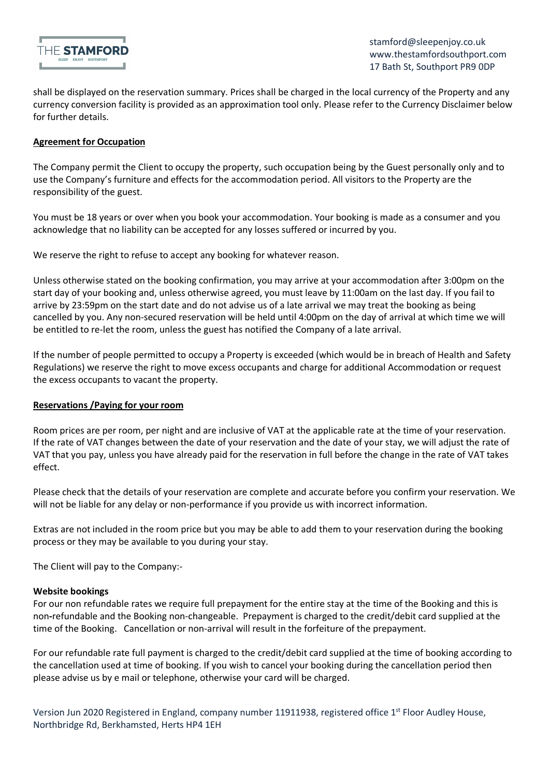

shall be displayed on the reservation summary. Prices shall be charged in the local currency of the Property and any currency conversion facility is provided as an approximation tool only. Please refer to the Currency Disclaimer below for further details.

## **Agreement for Occupation**

The Company permit the Client to occupy the property, such occupation being by the Guest personally only and to use the Company's furniture and effects for the accommodation period. All visitors to the Property are the responsibility of the guest.

You must be 18 years or over when you book your accommodation. Your booking is made as a consumer and you acknowledge that no liability can be accepted for any losses suffered or incurred by you.

We reserve the right to refuse to accept any booking for whatever reason.

Unless otherwise stated on the booking confirmation, you may arrive at your accommodation after 3:00pm on the start day of your booking and, unless otherwise agreed, you must leave by 11:00am on the last day. If you fail to arrive by 23:59pm on the start date and do not advise us of a late arrival we may treat the booking as being cancelled by you. Any non-secured reservation will be held until 4:00pm on the day of arrival at which time we will be entitled to re-let the room, unless the guest has notified the Company of a late arrival.

If the number of people permitted to occupy a Property is exceeded (which would be in breach of Health and Safety Regulations) we reserve the right to move excess occupants and charge for additional Accommodation or request the excess occupants to vacant the property.

## **Reservations /Paying for your room**

Room prices are per room, per night and are inclusive of VAT at the applicable rate at the time of your reservation. If the rate of VAT changes between the date of your reservation and the date of your stay, we will adjust the rate of VAT that you pay, unless you have already paid for the reservation in full before the change in the rate of VAT takes effect.

Please check that the details of your reservation are complete and accurate before you confirm your reservation. We will not be liable for any delay or non-performance if you provide us with incorrect information.

Extras are not included in the room price but you may be able to add them to your reservation during the booking process or they may be available to you during your stay.

The Client will pay to the Company:-

## **Website bookings**

For our non refundable rates we require full prepayment for the entire stay at the time of the Booking and this is non**-**refundable and the Booking non-changeable. Prepayment is charged to the credit/debit card supplied at the time of the Booking. Cancellation or non-arrival will result in the forfeiture of the prepayment.

For our refundable rate full payment is charged to the credit/debit card supplied at the time of booking according to the cancellation used at time of booking. If you wish to cancel your booking during the cancellation period then please advise us by e mail or telephone, otherwise your card will be charged.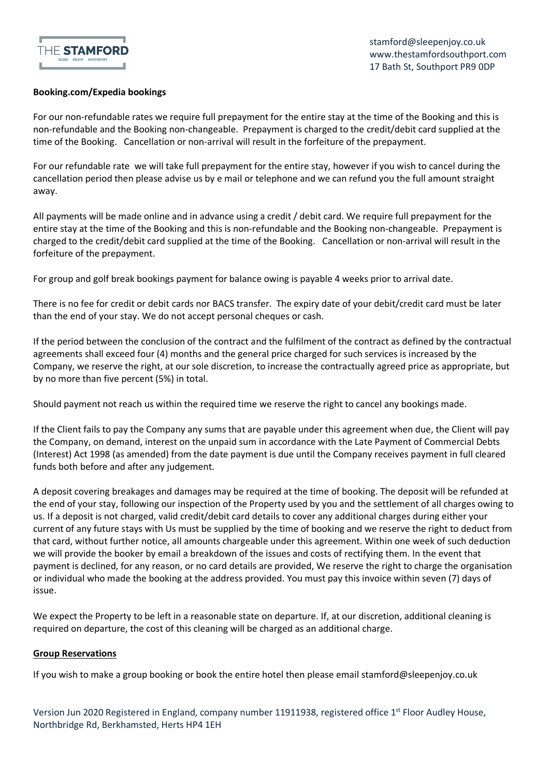

## **Booking.com/Expedia bookings**

For our non-refundable rates we require full prepayment for the entire stay at the time of the Booking and this is non-refundable and the Booking non-changeable. Prepayment is charged to the credit/debit card supplied at the time of the Booking. Cancellation or non-arrival will result in the forfeiture of the prepayment.

For our refundable rate we will take full prepayment for the entire stay, however if you wish to cancel during the cancellation period then please advise us by e mail or telephone and we can refund you the full amount straight away.

All payments will be made online and in advance using a credit / debit card. We require full prepayment for the entire stay at the time of the Booking and this is non-refundable and the Booking non-changeable. Prepayment is charged to the credit/debit card supplied at the time of the Booking. Cancellation or non-arrival will result in the forfeiture of the prepayment.

For group and golf break bookings payment for balance owing is payable 4 weeks prior to arrival date.

There is no fee for credit or debit cards nor BACS transfer. The expiry date of your debit/credit card must be later than the end of your stay. We do not accept personal cheques or cash.

If the period between the conclusion of the contract and the fulfilment of the contract as defined by the contractual agreements shall exceed four (4) months and the general price charged for such services is increased by the Company, we reserve the right, at our sole discretion, to increase the contractually agreed price as appropriate, but by no more than five percent (5%) in total.

Should payment not reach us within the required time we reserve the right to cancel any bookings made.

If the Client fails to pay the Company any sums that are payable under this agreement when due, the Client will pay the Company, on demand, interest on the unpaid sum in accordance with the Late Payment of Commercial Debts (Interest) Act 1998 (as amended) from the date payment is due until the Company receives payment in full cleared funds both before and after any judgement.

A deposit covering breakages and damages may be required at the time of booking. The deposit will be refunded at the end of your stay, following our inspection of the Property used by you and the settlement of all charges owing to us. If a deposit is not charged, valid credit/debit card details to cover any additional charges during either your current of any future stays with Us must be supplied by the time of booking and we reserve the right to deduct from that card, without further notice, all amounts chargeable under this agreement. Within one week of such deduction we will provide the booker by email a breakdown of the issues and costs of rectifying them. In the event that payment is declined, for any reason, or no card details are provided, We reserve the right to charge the organisation or individual who made the booking at the address provided. You must pay this invoice within seven (7) days of issue.

We expect the Property to be left in a reasonable state on departure. If, at our discretion, additional cleaning is required on departure, the cost of this cleaning will be charged as an additional charge.

## **Group Reservations**

If you wish to make a group booking or book the entire hotel then please email stamford@sleepenjoy.co.uk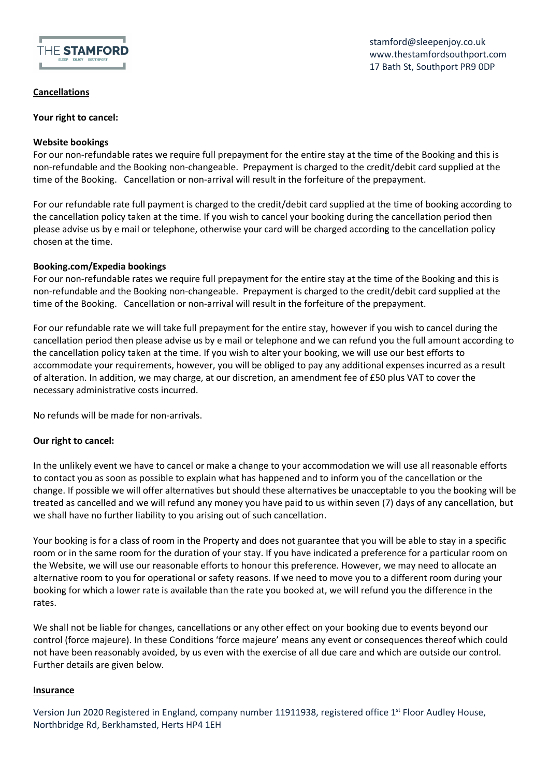

**Cancellations** 

**Your right to cancel:** 

## **Website bookings**

For our non-refundable rates we require full prepayment for the entire stay at the time of the Booking and this is non-refundable and the Booking non-changeable. Prepayment is charged to the credit/debit card supplied at the time of the Booking. Cancellation or non-arrival will result in the forfeiture of the prepayment.

For our refundable rate full payment is charged to the credit/debit card supplied at the time of booking according to the cancellation policy taken at the time. If you wish to cancel your booking during the cancellation period then please advise us by e mail or telephone, otherwise your card will be charged according to the cancellation policy chosen at the time.

## **Booking.com/Expedia bookings**

For our non-refundable rates we require full prepayment for the entire stay at the time of the Booking and this is non-refundable and the Booking non-changeable. Prepayment is charged to the credit/debit card supplied at the time of the Booking. Cancellation or non-arrival will result in the forfeiture of the prepayment.

For our refundable rate we will take full prepayment for the entire stay, however if you wish to cancel during the cancellation period then please advise us by e mail or telephone and we can refund you the full amount according to the cancellation policy taken at the time. If you wish to alter your booking, we will use our best efforts to accommodate your requirements, however, you will be obliged to pay any additional expenses incurred as a result of alteration. In addition, we may charge, at our discretion, an amendment fee of £50 plus VAT to cover the necessary administrative costs incurred.

No refunds will be made for non-arrivals.

## **Our right to cancel:**

In the unlikely event we have to cancel or make a change to your accommodation we will use all reasonable efforts to contact you as soon as possible to explain what has happened and to inform you of the cancellation or the change. If possible we will offer alternatives but should these alternatives be unacceptable to you the booking will be treated as cancelled and we will refund any money you have paid to us within seven (7) days of any cancellation, but we shall have no further liability to you arising out of such cancellation.

Your booking is for a class of room in the Property and does not guarantee that you will be able to stay in a specific room or in the same room for the duration of your stay. If you have indicated a preference for a particular room on the Website, we will use our reasonable efforts to honour this preference. However, we may need to allocate an alternative room to you for operational or safety reasons. If we need to move you to a different room during your booking for which a lower rate is available than the rate you booked at, we will refund you the difference in the rates.

We shall not be liable for changes, cancellations or any other effect on your booking due to events beyond our control (force majeure). In these Conditions 'force majeure' means any event or consequences thereof which could not have been reasonably avoided, by us even with the exercise of all due care and which are outside our control. Further details are given below.

## **Insurance**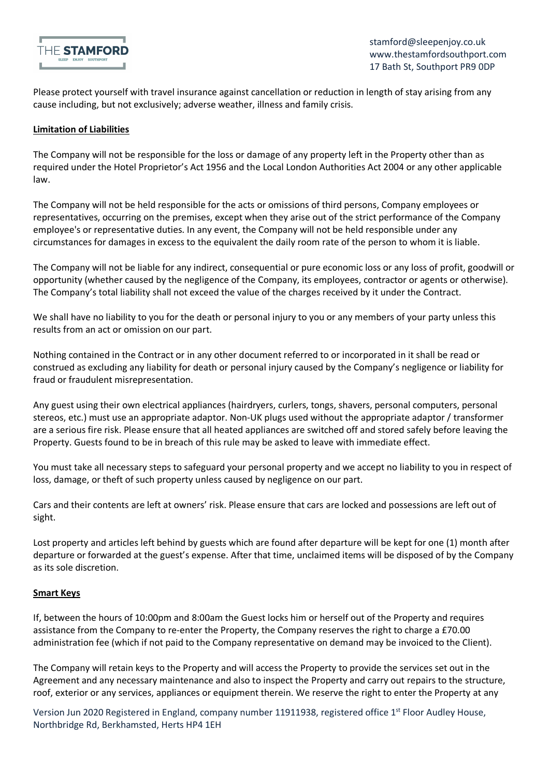

Please protect yourself with travel insurance against cancellation or reduction in length of stay arising from any cause including, but not exclusively; adverse weather, illness and family crisis.

### **Limitation of Liabilities**

The Company will not be responsible for the loss or damage of any property left in the Property other than as required under the Hotel Proprietor's Act 1956 and the Local London Authorities Act 2004 or any other applicable law.

The Company will not be held responsible for the acts or omissions of third persons, Company employees or representatives, occurring on the premises, except when they arise out of the strict performance of the Company employee's or representative duties. In any event, the Company will not be held responsible under any circumstances for damages in excess to the equivalent the daily room rate of the person to whom it is liable.

The Company will not be liable for any indirect, consequential or pure economic loss or any loss of profit, goodwill or opportunity (whether caused by the negligence of the Company, its employees, contractor or agents or otherwise). The Company's total liability shall not exceed the value of the charges received by it under the Contract.

We shall have no liability to you for the death or personal injury to you or any members of your party unless this results from an act or omission on our part.

Nothing contained in the Contract or in any other document referred to or incorporated in it shall be read or construed as excluding any liability for death or personal injury caused by the Company's negligence or liability for fraud or fraudulent misrepresentation.

Any guest using their own electrical appliances (hairdryers, curlers, tongs, shavers, personal computers, personal stereos, etc.) must use an appropriate adaptor. Non-UK plugs used without the appropriate adaptor / transformer are a serious fire risk. Please ensure that all heated appliances are switched off and stored safely before leaving the Property. Guests found to be in breach of this rule may be asked to leave with immediate effect.

You must take all necessary steps to safeguard your personal property and we accept no liability to you in respect of loss, damage, or theft of such property unless caused by negligence on our part.

Cars and their contents are left at owners' risk. Please ensure that cars are locked and possessions are left out of sight.

Lost property and articles left behind by guests which are found after departure will be kept for one (1) month after departure or forwarded at the guest's expense. After that time, unclaimed items will be disposed of by the Company as its sole discretion.

#### **Smart Keys**

If, between the hours of 10:00pm and 8:00am the Guest locks him or herself out of the Property and requires assistance from the Company to re-enter the Property, the Company reserves the right to charge a £70.00 administration fee (which if not paid to the Company representative on demand may be invoiced to the Client).

The Company will retain keys to the Property and will access the Property to provide the services set out in the Agreement and any necessary maintenance and also to inspect the Property and carry out repairs to the structure, roof, exterior or any services, appliances or equipment therein. We reserve the right to enter the Property at any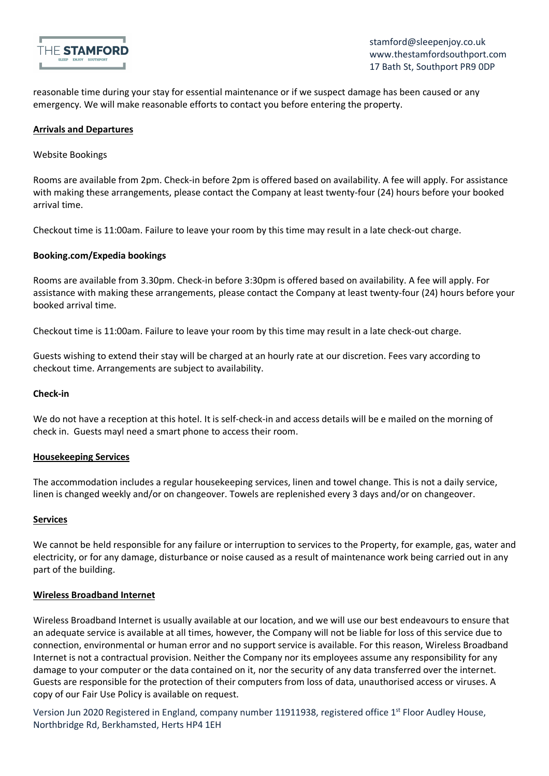

reasonable time during your stay for essential maintenance or if we suspect damage has been caused or any emergency. We will make reasonable efforts to contact you before entering the property.

### **Arrivals and Departures**

Website Bookings

Rooms are available from 2pm. Check-in before 2pm is offered based on availability. A fee will apply. For assistance with making these arrangements, please contact the Company at least twenty-four (24) hours before your booked arrival time.

Checkout time is 11:00am. Failure to leave your room by this time may result in a late check-out charge.

#### **Booking.com/Expedia bookings**

Rooms are available from 3.30pm. Check-in before 3:30pm is offered based on availability. A fee will apply. For assistance with making these arrangements, please contact the Company at least twenty-four (24) hours before your booked arrival time.

Checkout time is 11:00am. Failure to leave your room by this time may result in a late check-out charge.

Guests wishing to extend their stay will be charged at an hourly rate at our discretion. Fees vary according to checkout time. Arrangements are subject to availability.

#### **Check-in**

We do not have a reception at this hotel. It is self-check-in and access details will be e mailed on the morning of check in. Guests mayl need a smart phone to access their room.

#### **Housekeeping Services**

The accommodation includes a regular housekeeping services, linen and towel change. This is not a daily service, linen is changed weekly and/or on changeover. Towels are replenished every 3 days and/or on changeover.

#### **Services**

We cannot be held responsible for any failure or interruption to services to the Property, for example, gas, water and electricity, or for any damage, disturbance or noise caused as a result of maintenance work being carried out in any part of the building.

#### **Wireless Broadband Internet**

Wireless Broadband Internet is usually available at our location, and we will use our best endeavours to ensure that an adequate service is available at all times, however, the Company will not be liable for loss of this service due to connection, environmental or human error and no support service is available. For this reason, Wireless Broadband Internet is not a contractual provision. Neither the Company nor its employees assume any responsibility for any damage to your computer or the data contained on it, nor the security of any data transferred over the internet. Guests are responsible for the protection of their computers from loss of data, unauthorised access or viruses. A copy of our Fair Use Policy is available on request.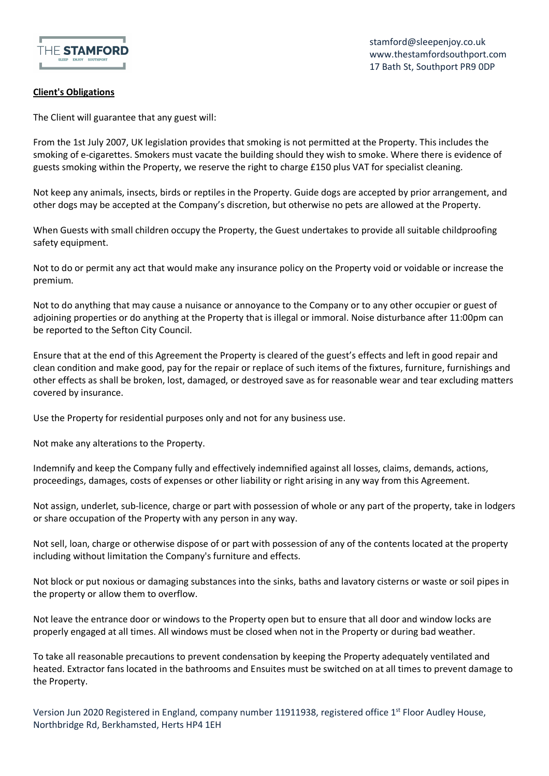

## **Client's Obligations**

The Client will guarantee that any guest will:

From the 1st July 2007, UK legislation provides that smoking is not permitted at the Property. This includes the smoking of e-cigarettes. Smokers must vacate the building should they wish to smoke. Where there is evidence of guests smoking within the Property, we reserve the right to charge £150 plus VAT for specialist cleaning.

Not keep any animals, insects, birds or reptiles in the Property. Guide dogs are accepted by prior arrangement, and other dogs may be accepted at the Company's discretion, but otherwise no pets are allowed at the Property.

When Guests with small children occupy the Property, the Guest undertakes to provide all suitable childproofing safety equipment.

Not to do or permit any act that would make any insurance policy on the Property void or voidable or increase the premium.

Not to do anything that may cause a nuisance or annoyance to the Company or to any other occupier or guest of adjoining properties or do anything at the Property that is illegal or immoral. Noise disturbance after 11:00pm can be reported to the Sefton City Council.

Ensure that at the end of this Agreement the Property is cleared of the guest's effects and left in good repair and clean condition and make good, pay for the repair or replace of such items of the fixtures, furniture, furnishings and other effects as shall be broken, lost, damaged, or destroyed save as for reasonable wear and tear excluding matters covered by insurance.

Use the Property for residential purposes only and not for any business use.

Not make any alterations to the Property.

Indemnify and keep the Company fully and effectively indemnified against all losses, claims, demands, actions, proceedings, damages, costs of expenses or other liability or right arising in any way from this Agreement.

Not assign, underlet, sub-licence, charge or part with possession of whole or any part of the property, take in lodgers or share occupation of the Property with any person in any way.

Not sell, loan, charge or otherwise dispose of or part with possession of any of the contents located at the property including without limitation the Company's furniture and effects.

Not block or put noxious or damaging substances into the sinks, baths and lavatory cisterns or waste or soil pipes in the property or allow them to overflow.

Not leave the entrance door or windows to the Property open but to ensure that all door and window locks are properly engaged at all times. All windows must be closed when not in the Property or during bad weather.

To take all reasonable precautions to prevent condensation by keeping the Property adequately ventilated and heated. Extractor fans located in the bathrooms and Ensuites must be switched on at all times to prevent damage to the Property.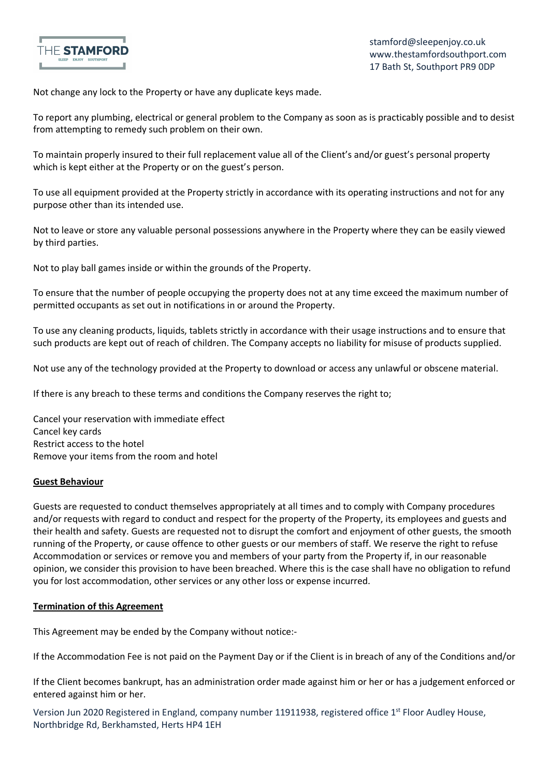

Not change any lock to the Property or have any duplicate keys made.

To report any plumbing, electrical or general problem to the Company as soon as is practicably possible and to desist from attempting to remedy such problem on their own.

To maintain properly insured to their full replacement value all of the Client's and/or guest's personal property which is kept either at the Property or on the guest's person.

To use all equipment provided at the Property strictly in accordance with its operating instructions and not for any purpose other than its intended use.

Not to leave or store any valuable personal possessions anywhere in the Property where they can be easily viewed by third parties.

Not to play ball games inside or within the grounds of the Property.

To ensure that the number of people occupying the property does not at any time exceed the maximum number of permitted occupants as set out in notifications in or around the Property.

To use any cleaning products, liquids, tablets strictly in accordance with their usage instructions and to ensure that such products are kept out of reach of children. The Company accepts no liability for misuse of products supplied.

Not use any of the technology provided at the Property to download or access any unlawful or obscene material.

If there is any breach to these terms and conditions the Company reserves the right to;

Cancel your reservation with immediate effect Cancel key cards Restrict access to the hotel Remove your items from the room and hotel

#### **Guest Behaviour**

Guests are requested to conduct themselves appropriately at all times and to comply with Company procedures and/or requests with regard to conduct and respect for the property of the Property, its employees and guests and their health and safety. Guests are requested not to disrupt the comfort and enjoyment of other guests, the smooth running of the Property, or cause offence to other guests or our members of staff. We reserve the right to refuse Accommodation or services or remove you and members of your party from the Property if, in our reasonable opinion, we consider this provision to have been breached. Where this is the case shall have no obligation to refund you for lost accommodation, other services or any other loss or expense incurred.

#### **Termination of this Agreement**

This Agreement may be ended by the Company without notice:-

If the Accommodation Fee is not paid on the Payment Day or if the Client is in breach of any of the Conditions and/or

If the Client becomes bankrupt, has an administration order made against him or her or has a judgement enforced or entered against him or her.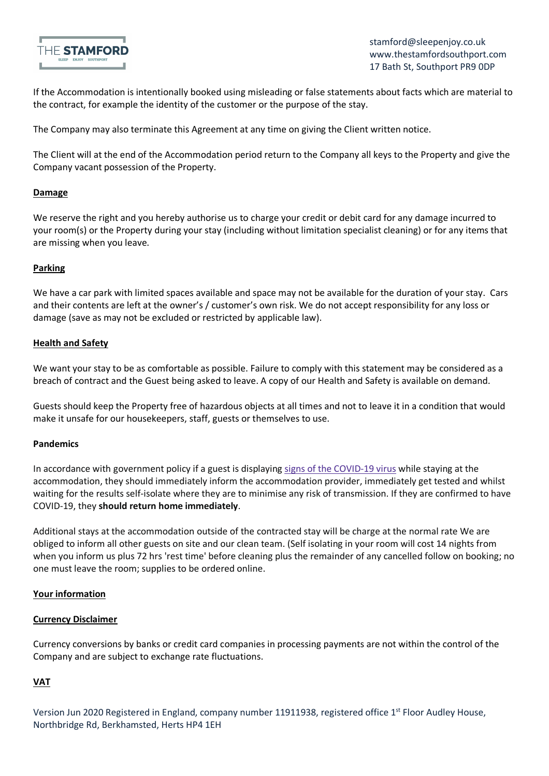

If the Accommodation is intentionally booked using misleading or false statements about facts which are material to the contract, for example the identity of the customer or the purpose of the stay.

The Company may also terminate this Agreement at any time on giving the Client written notice.

The Client will at the end of the Accommodation period return to the Company all keys to the Property and give the Company vacant possession of the Property.

## **Damage**

We reserve the right and you hereby authorise us to charge your credit or debit card for any damage incurred to your room(s) or the Property during your stay (including without limitation specialist cleaning) or for any items that are missing when you leave.

## **Parking**

We have a car park with limited spaces available and space may not be available for the duration of your stay. Cars and their contents are left at the owner's / customer's own risk. We do not accept responsibility for any loss or damage (save as may not be excluded or restricted by applicable law).

#### **Health and Safety**

We want your stay to be as comfortable as possible. Failure to comply with this statement may be considered as a breach of contract and the Guest being asked to leave. A copy of our Health and Safety is available on demand.

Guests should keep the Property free of hazardous objects at all times and not to leave it in a condition that would make it unsafe for our housekeepers, staff, guests or themselves to use.

## **Pandemics**

In accordance with government policy if a guest is displaying signs of the COVID-19 virus while staying at the accommodation, they should immediately inform the accommodation provider, immediately get tested and whilst waiting for the results self-isolate where they are to minimise any risk of transmission. If they are confirmed to have COVID-19, they **should return home immediately**.

Additional stays at the accommodation outside of the contracted stay will be charge at the normal rate We are obliged to inform all other guests on site and our clean team. (Self isolating in your room will cost 14 nights from when you inform us plus 72 hrs 'rest time' before cleaning plus the remainder of any cancelled follow on booking; no one must leave the room; supplies to be ordered online.

## **Your information**

#### **Currency Disclaimer**

Currency conversions by banks or credit card companies in processing payments are not within the control of the Company and are subject to exchange rate fluctuations.

## **VAT**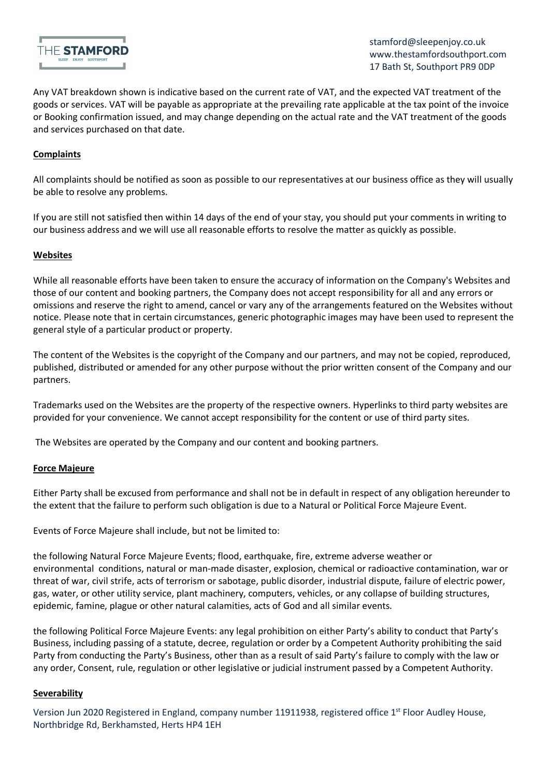

Any VAT breakdown shown is indicative based on the current rate of VAT, and the expected VAT treatment of the goods or services. VAT will be payable as appropriate at the prevailing rate applicable at the tax point of the invoice or Booking confirmation issued, and may change depending on the actual rate and the VAT treatment of the goods and services purchased on that date.

## **Complaints**

All complaints should be notified as soon as possible to our representatives at our business office as they will usually be able to resolve any problems.

If you are still not satisfied then within 14 days of the end of your stay, you should put your comments in writing to our business address and we will use all reasonable efforts to resolve the matter as quickly as possible.

## **Websites**

While all reasonable efforts have been taken to ensure the accuracy of information on the Company's Websites and those of our content and booking partners, the Company does not accept responsibility for all and any errors or omissions and reserve the right to amend, cancel or vary any of the arrangements featured on the Websites without notice. Please note that in certain circumstances, generic photographic images may have been used to represent the general style of a particular product or property.

The content of the Websites is the copyright of the Company and our partners, and may not be copied, reproduced, published, distributed or amended for any other purpose without the prior written consent of the Company and our partners.

Trademarks used on the Websites are the property of the respective owners. Hyperlinks to third party websites are provided for your convenience. We cannot accept responsibility for the content or use of third party sites.

The Websites are operated by the Company and our content and booking partners.

## **Force Majeure**

Either Party shall be excused from performance and shall not be in default in respect of any obligation hereunder to the extent that the failure to perform such obligation is due to a Natural or Political Force Majeure Event.

Events of Force Majeure shall include, but not be limited to:

the following Natural Force Majeure Events; flood, earthquake, fire, extreme adverse weather or environmental conditions, natural or man-made disaster, explosion, chemical or radioactive contamination, war or threat of war, civil strife, acts of terrorism or sabotage, public disorder, industrial dispute, failure of electric power, gas, water, or other utility service, plant machinery, computers, vehicles, or any collapse of building structures, epidemic, famine, plague or other natural calamities, acts of God and all similar events.

the following Political Force Majeure Events: any legal prohibition on either Party's ability to conduct that Party's Business, including passing of a statute, decree, regulation or order by a Competent Authority prohibiting the said Party from conducting the Party's Business, other than as a result of said Party's failure to comply with the law or any order, Consent, rule, regulation or other legislative or judicial instrument passed by a Competent Authority.

## **Severability**